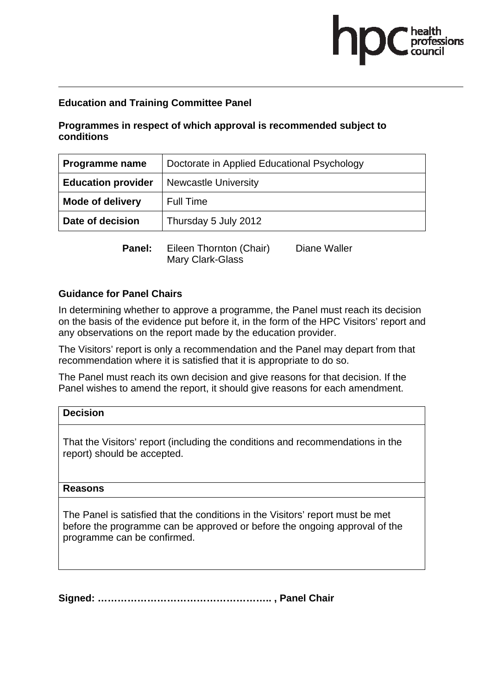#### **Education and Training Committee Panel**

#### **Programmes in respect of which approval is recommended subject to conditions**

| Programme name            | Doctorate in Applied Educational Psychology |  |
|---------------------------|---------------------------------------------|--|
| <b>Education provider</b> | <b>Newcastle University</b>                 |  |
| <b>Mode of delivery</b>   | <b>Full Time</b>                            |  |
| Date of decision          | Thursday 5 July 2012                        |  |
|                           |                                             |  |

**Panel:** Eileen Thornton (Chair) Diane Waller Mary Clark-Glass

#### **Guidance for Panel Chairs**

In determining whether to approve a programme, the Panel must reach its decision on the basis of the evidence put before it, in the form of the HPC Visitors' report and any observations on the report made by the education provider.

The Visitors' report is only a recommendation and the Panel may depart from that recommendation where it is satisfied that it is appropriate to do so.

The Panel must reach its own decision and give reasons for that decision. If the Panel wishes to amend the report, it should give reasons for each amendment.

### **Decision**  That the Visitors' report (including the conditions and recommendations in the report) should be accepted.

#### **Reasons**

The Panel is satisfied that the conditions in the Visitors' report must be met before the programme can be approved or before the ongoing approval of the programme can be confirmed.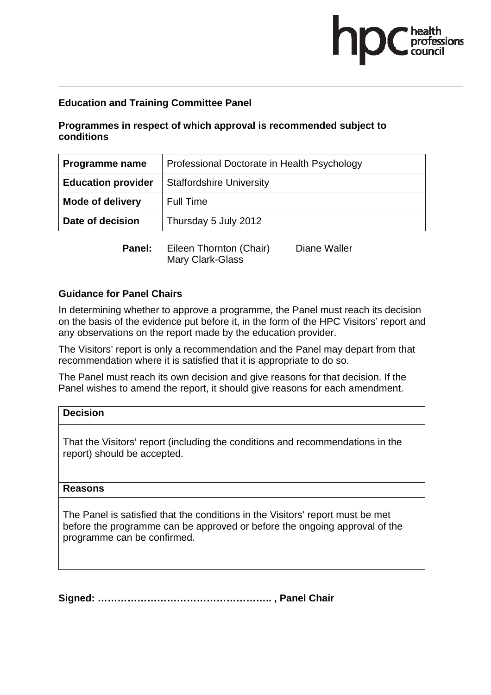#### **Education and Training Committee Panel**

#### **Programmes in respect of which approval is recommended subject to conditions**

| Programme name            | Professional Doctorate in Health Psychology |  |
|---------------------------|---------------------------------------------|--|
| <b>Education provider</b> | <b>Staffordshire University</b>             |  |
| <b>Mode of delivery</b>   | <b>Full Time</b>                            |  |
| Date of decision          | Thursday 5 July 2012                        |  |
|                           |                                             |  |

**Panel:** Eileen Thornton (Chair) Diane Waller Mary Clark-Glass

#### **Guidance for Panel Chairs**

In determining whether to approve a programme, the Panel must reach its decision on the basis of the evidence put before it, in the form of the HPC Visitors' report and any observations on the report made by the education provider.

The Visitors' report is only a recommendation and the Panel may depart from that recommendation where it is satisfied that it is appropriate to do so.

The Panel must reach its own decision and give reasons for that decision. If the Panel wishes to amend the report, it should give reasons for each amendment.

### **Decision**  That the Visitors' report (including the conditions and recommendations in the report) should be accepted.

#### **Reasons**

The Panel is satisfied that the conditions in the Visitors' report must be met before the programme can be approved or before the ongoing approval of the programme can be confirmed.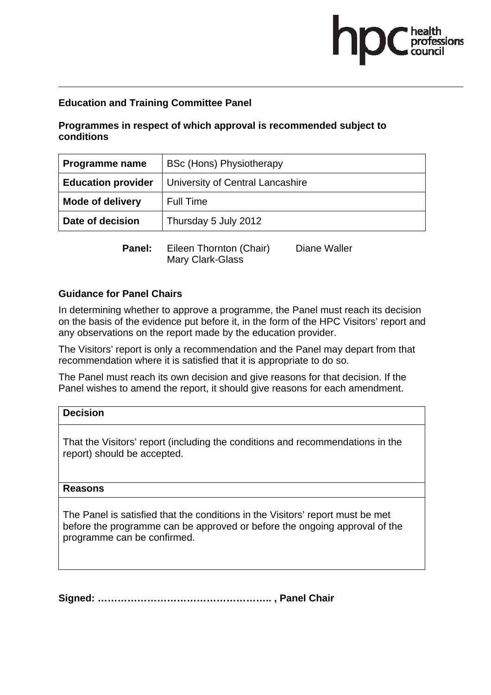#### **Education and Training Committee Panel**

#### **Programmes in respect of which approval is recommended subject to conditions**

| Programme name            | <b>BSc (Hons) Physiotherapy</b>  |  |
|---------------------------|----------------------------------|--|
| <b>Education provider</b> | University of Central Lancashire |  |
| Mode of delivery          | <b>Full Time</b>                 |  |
| Date of decision          | Thursday 5 July 2012             |  |
|                           |                                  |  |

**Panel:** Eileen Thornton (Chair) Diane Waller Mary Clark-Glass

#### **Guidance for Panel Chairs**

report) should be accepted.

In determining whether to approve a programme, the Panel must reach its decision on the basis of the evidence put before it, in the form of the HPC Visitors' report and any observations on the report made by the education provider.

The Visitors' report is only a recommendation and the Panel may depart from that recommendation where it is satisfied that it is appropriate to do so.

The Panel must reach its own decision and give reasons for that decision. If the Panel wishes to amend the report, it should give reasons for each amendment.

### **Decision**  That the Visitors' report (including the conditions and recommendations in the

#### **Reasons**

The Panel is satisfied that the conditions in the Visitors' report must be met before the programme can be approved or before the ongoing approval of the programme can be confirmed.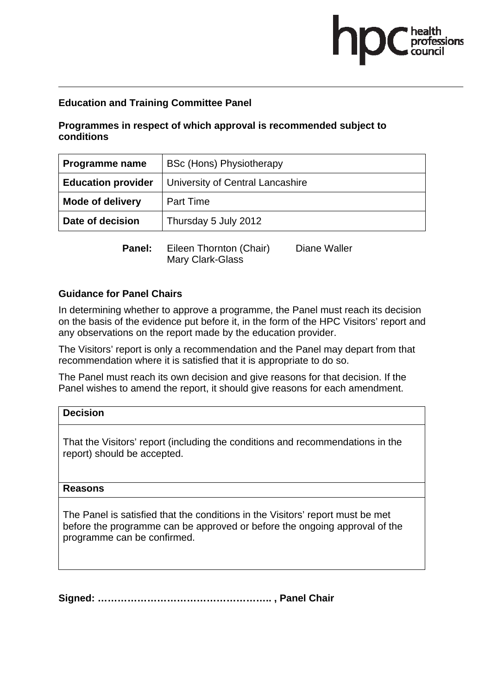#### **Education and Training Committee Panel**

#### **Programmes in respect of which approval is recommended subject to conditions**

| Programme name            | <b>BSc (Hons) Physiotherapy</b>  |  |
|---------------------------|----------------------------------|--|
| <b>Education provider</b> | University of Central Lancashire |  |
| <b>Mode of delivery</b>   | <b>Part Time</b>                 |  |
| Date of decision          | Thursday 5 July 2012             |  |
|                           |                                  |  |

**Panel:** Eileen Thornton (Chair) Diane Waller Mary Clark-Glass

#### **Guidance for Panel Chairs**

In determining whether to approve a programme, the Panel must reach its decision on the basis of the evidence put before it, in the form of the HPC Visitors' report and any observations on the report made by the education provider.

The Visitors' report is only a recommendation and the Panel may depart from that recommendation where it is satisfied that it is appropriate to do so.

The Panel must reach its own decision and give reasons for that decision. If the Panel wishes to amend the report, it should give reasons for each amendment.

### **Decision**  That the Visitors' report (including the conditions and recommendations in the

report) should be accepted.

#### **Reasons**

The Panel is satisfied that the conditions in the Visitors' report must be met before the programme can be approved or before the ongoing approval of the programme can be confirmed.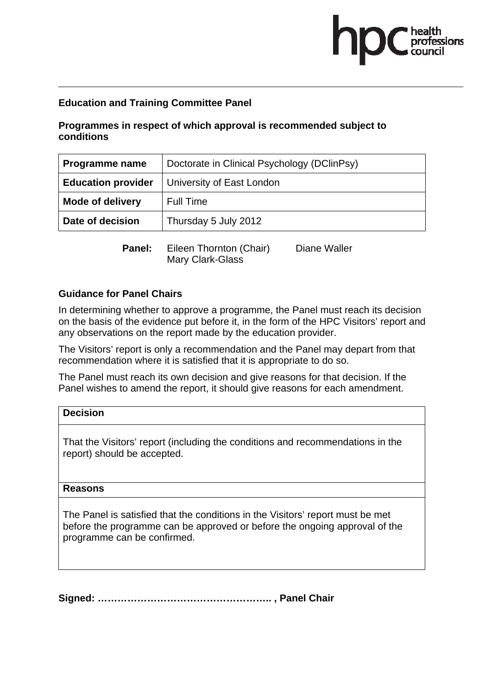#### **Education and Training Committee Panel**

#### **Programmes in respect of which approval is recommended subject to conditions**

| Programme name            | Doctorate in Clinical Psychology (DClinPsy) |  |
|---------------------------|---------------------------------------------|--|
| <b>Education provider</b> | University of East London                   |  |
| Mode of delivery          | <b>Full Time</b>                            |  |
| Date of decision          | Thursday 5 July 2012                        |  |
|                           |                                             |  |

**Panel:** Eileen Thornton (Chair) Diane Waller Mary Clark-Glass

#### **Guidance for Panel Chairs**

report) should be accepted.

In determining whether to approve a programme, the Panel must reach its decision on the basis of the evidence put before it, in the form of the HPC Visitors' report and any observations on the report made by the education provider.

The Visitors' report is only a recommendation and the Panel may depart from that recommendation where it is satisfied that it is appropriate to do so.

The Panel must reach its own decision and give reasons for that decision. If the Panel wishes to amend the report, it should give reasons for each amendment.

### **Decision**  That the Visitors' report (including the conditions and recommendations in the

#### **Reasons**

The Panel is satisfied that the conditions in the Visitors' report must be met before the programme can be approved or before the ongoing approval of the programme can be confirmed.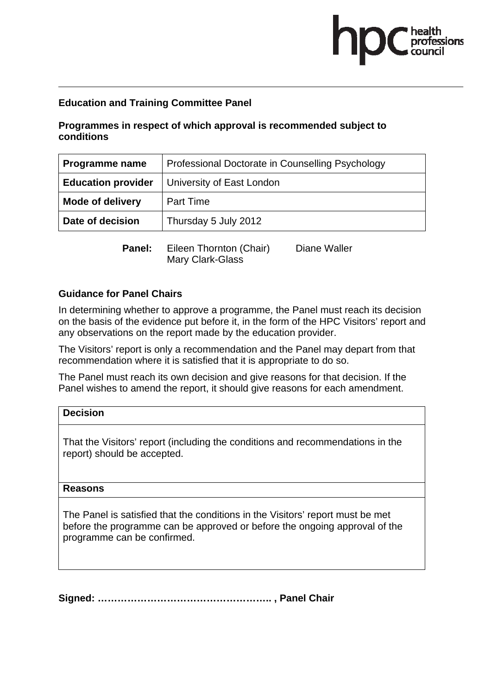#### **Education and Training Committee Panel**

#### **Programmes in respect of which approval is recommended subject to conditions**

| Programme name            | Professional Doctorate in Counselling Psychology |  |
|---------------------------|--------------------------------------------------|--|
| <b>Education provider</b> | University of East London                        |  |
| <b>Mode of delivery</b>   | <b>Part Time</b>                                 |  |
| Date of decision          | Thursday 5 July 2012                             |  |
|                           |                                                  |  |

**Panel:** Eileen Thornton (Chair) Diane Waller Mary Clark-Glass

#### **Guidance for Panel Chairs**

report) should be accepted.

In determining whether to approve a programme, the Panel must reach its decision on the basis of the evidence put before it, in the form of the HPC Visitors' report and any observations on the report made by the education provider.

The Visitors' report is only a recommendation and the Panel may depart from that recommendation where it is satisfied that it is appropriate to do so.

The Panel must reach its own decision and give reasons for that decision. If the Panel wishes to amend the report, it should give reasons for each amendment.

### **Decision**  That the Visitors' report (including the conditions and recommendations in the

#### **Reasons**

The Panel is satisfied that the conditions in the Visitors' report must be met before the programme can be approved or before the ongoing approval of the programme can be confirmed.